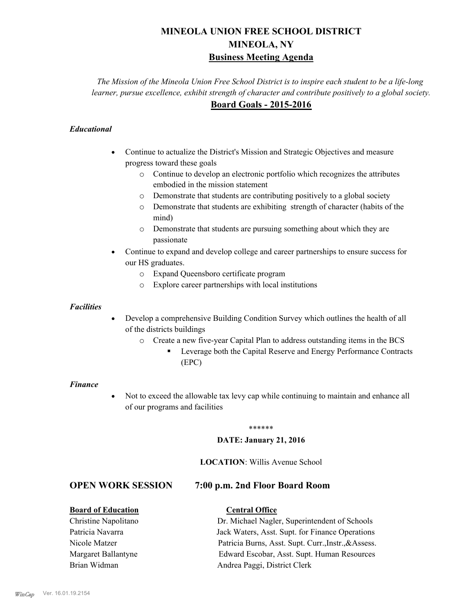# **MINEOLA UNION FREE SCHOOL DISTRICT MINEOLA, NY Business Meeting Agenda**

*The Mission of the Mineola Union Free School District is to inspire each student to be a life-long learner, pursue excellence, exhibit strength of character and contribute positively to a global society.* **Board Goals - 2015-2016**

#### *Educational*

- · Continue to actualize the District's Mission and Strategic Objectives and measure progress toward these goals
	- o Continue to develop an electronic portfolio which recognizes the attributes embodied in the mission statement
	- o Demonstrate that students are contributing positively to a global society
	- o Demonstrate that students are exhibiting strength of character (habits of the mind)
	- o Demonstrate that students are pursuing something about which they are passionate
- Continue to expand and develop college and career partnerships to ensure success for our HS graduates.
	- o Expand Queensboro certificate program
	- o Explore career partnerships with local institutions

#### *Facilities*

- Develop a comprehensive Building Condition Survey which outlines the health of all of the districts buildings
	- o Create a new five-year Capital Plan to address outstanding items in the BCS
		- § Leverage both the Capital Reserve and Energy Performance Contracts (EPC)

#### *Finance*

• Not to exceed the allowable tax levy cap while continuing to maintain and enhance all of our programs and facilities

#### \*\*\*\*\*\*

#### **DATE: January 21, 2016**

#### **LOCATION**: Willis Avenue School

# **OPEN WORK SESSION 7:00 p.m. 2nd Floor Board Room**

#### **Board of Education Central Office**

Christine Napolitano Dr. Michael Nagler, Superintendent of Schools Patricia Navarra Jack Waters, Asst. Supt. for Finance Operations Nicole Matzer Patricia Burns, Asst. Supt. Curr.,Instr.,&Assess. Margaret Ballantyne Edward Escobar, Asst. Supt. Human Resources Brian Widman **Andrea Paggi, District Clerk**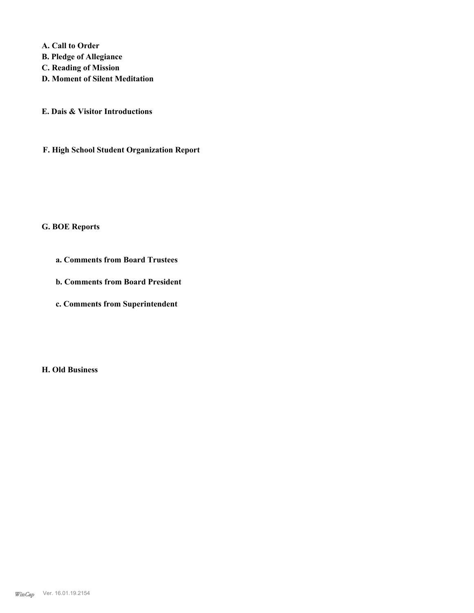**A. Call to Order** 

- **B. Pledge of Allegiance**
- **C. Reading of Mission**
- **D. Moment of Silent Meditation**
- **E. Dais & Visitor Introductions**
- **F. High School Student Organization Report**

# **G. BOE Reports**

- **a. Comments from Board Trustees**
- **b. Comments from Board President**
- **c. Comments from Superintendent**

**H. Old Business**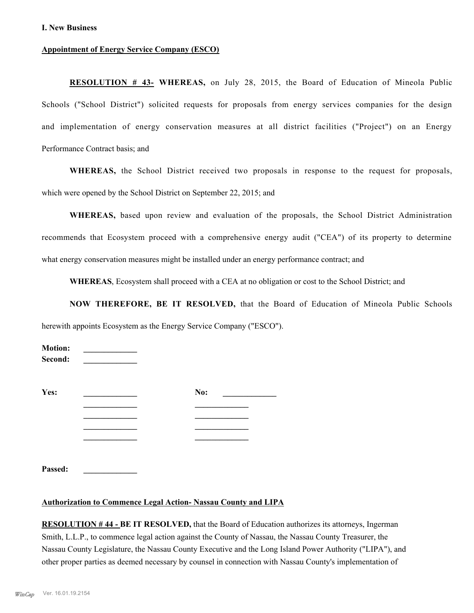#### **I. New Business**

#### **Appointment of Energy Service Company (ESCO)**

**RESOLUTION # 43- WHEREAS,** on July 28, 2015, the Board of Education of Mineola Public Schools ("School District") solicited requests for proposals from energy services companies for the design and implementation of energy conservation measures at all district facilities ("Project") on an Energy Performance Contract basis; and

**WHEREAS,** the School District received two proposals in response to the request for proposals, which were opened by the School District on September 22, 2015; and

**WHEREAS,** based upon review and evaluation of the proposals, the School District Administration recommends that Ecosystem proceed with a comprehensive energy audit ("CEA") of its property to determine what energy conservation measures might be installed under an energy performance contract; and

**WHEREAS**, Ecosystem shall proceed with a CEA at no obligation or cost to the School District; and

**NOW THEREFORE, BE IT RESOLVED,** that the Board of Education of Mineola Public Schools herewith appoints Ecosystem as the Energy Service Company ("ESCO").

| <b>Motion:</b><br>Second: |     |  |
|---------------------------|-----|--|
| Yes:                      | No: |  |
|                           |     |  |
|                           |     |  |
|                           |     |  |
|                           |     |  |
|                           |     |  |
| Passed:                   |     |  |

#### **Authorization to Commence Legal Action- Nassau County and LIPA**

**RESOLUTION # 44 - BE IT RESOLVED,** that the Board of Education authorizes its attorneys, Ingerman Smith, L.L.P., to commence legal action against the County of Nassau, the Nassau County Treasurer, the Nassau County Legislature, the Nassau County Executive and the Long Island Power Authority ("LIPA"), and other proper parties as deemed necessary by counsel in connection with Nassau County's implementation of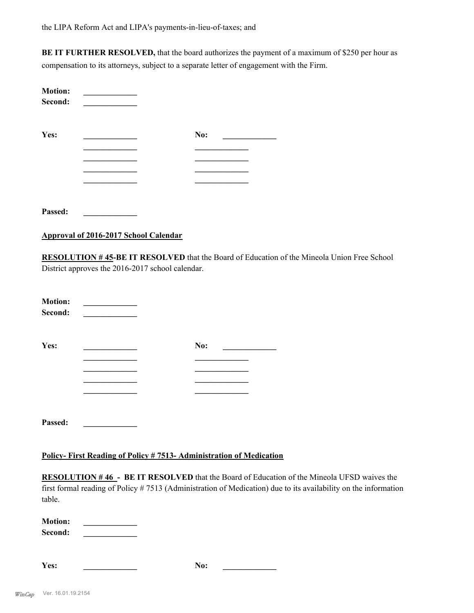**BE IT FURTHER RESOLVED,** that the board authorizes the payment of a maximum of \$250 per hour as compensation to its attorneys, subject to a separate letter of engagement with the Firm.

| <b>Motion:</b><br>Second: |     |  |
|---------------------------|-----|--|
| Yes:                      | No: |  |
|                           |     |  |
|                           |     |  |
|                           |     |  |
|                           |     |  |
|                           |     |  |
| Passed:                   |     |  |

**Approval of 2016-2017 School Calendar**

**RESOLUTION # 45-BE IT RESOLVED** that the Board of Education of the Mineola Union Free School District approves the 2016-2017 school calendar.

| <b>Motion:</b><br>Second: |     |  |
|---------------------------|-----|--|
| Yes:                      | No: |  |
|                           |     |  |
|                           |     |  |
|                           |     |  |
| Passed:                   |     |  |

#### **Policy- First Reading of Policy # 7513- Administration of Medication**

**RESOLUTION # 46 - BE IT RESOLVED** that the Board of Education of the Mineola UFSD waives the first formal reading of Policy # 7513 (Administration of Medication) due to its availability on the information table.

**Motion: \_\_\_\_\_\_\_\_\_\_\_\_\_**   $\bf Second:$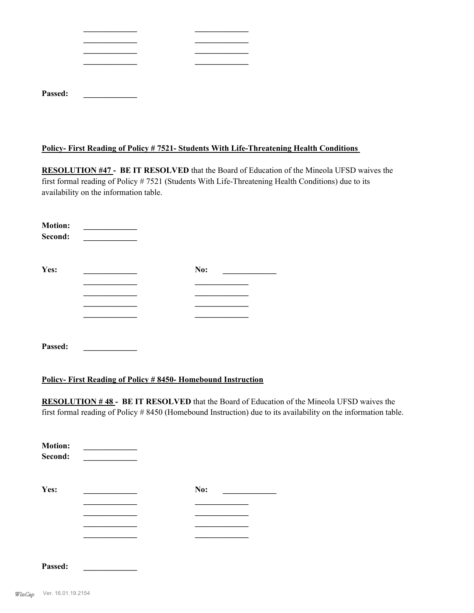| Passed: |  |  |
|---------|--|--|
|         |  |  |

#### **Policy- First Reading of Policy # 7521- Students With Life-Threatening Health Conditions**

**RESOLUTION #47 - BE IT RESOLVED** that the Board of Education of the Mineola UFSD waives the first formal reading of Policy # 7521 (Students With Life-Threatening Health Conditions) due to its availability on the information table.

| <b>Motion:</b><br>Second: |     |
|---------------------------|-----|
| Yes:                      | No: |
|                           |     |
|                           |     |
|                           |     |
|                           |     |
| Passed:                   |     |

#### **Policy- First Reading of Policy # 8450- Homebound Instruction**

**RESOLUTION # 48 - BE IT RESOLVED** that the Board of Education of the Mineola UFSD waives the first formal reading of Policy # 8450 (Homebound Instruction) due to its availability on the information table.

| <b>Motion:</b><br>Second: |     |  |
|---------------------------|-----|--|
| Yes:                      | No: |  |
|                           |     |  |
|                           |     |  |
|                           |     |  |
|                           |     |  |
| Passed:                   |     |  |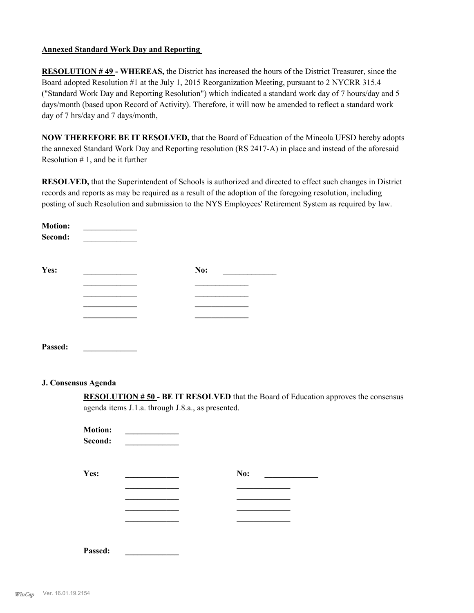#### **Annexed Standard Work Day and Reporting**

**RESOLUTION # 49 - WHEREAS,** the District has increased the hours of the District Treasurer, since the Board adopted Resolution #1 at the July 1, 2015 Reorganization Meeting, pursuant to 2 NYCRR 315.4 ("Standard Work Day and Reporting Resolution") which indicated a standard work day of 7 hours/day and 5 days/month (based upon Record of Activity). Therefore, it will now be amended to reflect a standard work day of 7 hrs/day and 7 days/month,

**NOW THEREFORE BE IT RESOLVED,** that the Board of Education of the Mineola UFSD hereby adopts the annexed Standard Work Day and Reporting resolution (RS 2417-A) in place and instead of the aforesaid Resolution  $# 1$ , and be it further

**RESOLVED,** that the Superintendent of Schools is authorized and directed to effect such changes in District records and reports as may be required as a result of the adoption of the foregoing resolution, including posting of such Resolution and submission to the NYS Employees' Retirement System as required by law.

| <b>Motion:</b><br>Second: |     |  |
|---------------------------|-----|--|
| Yes:                      | No: |  |
|                           |     |  |
|                           |     |  |
|                           |     |  |
|                           |     |  |
| Passed:                   |     |  |

#### **J. Consensus Agenda**

**RESOLUTION # 50 - BE IT RESOLVED** that the Board of Education approves the consensus agenda items J.1.a. through J.8.a., as presented.

| <b>Motion:</b><br>Second: |     |  |
|---------------------------|-----|--|
| Yes:                      | No: |  |
|                           |     |  |

| Passed: |
|---------|
|---------|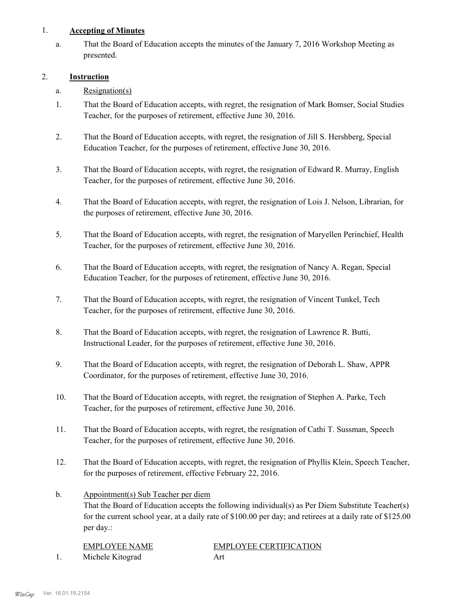#### 1. **Accepting of Minutes**

That the Board of Education accepts the minutes of the January 7, 2016 Workshop Meeting as presented. a.

## 2. **Instruction**

- a. Resignation(s)
- That the Board of Education accepts, with regret, the resignation of Mark Bomser, Social Studies Teacher, for the purposes of retirement, effective June 30, 2016. 1.
- That the Board of Education accepts, with regret, the resignation of Jill S. Hershberg, Special Education Teacher, for the purposes of retirement, effective June 30, 2016. 2.
- That the Board of Education accepts, with regret, the resignation of Edward R. Murray, English Teacher, for the purposes of retirement, effective June 30, 2016. 3.
- That the Board of Education accepts, with regret, the resignation of Lois J. Nelson, Librarian, for the purposes of retirement, effective June 30, 2016. 4.
- That the Board of Education accepts, with regret, the resignation of Maryellen Perinchief, Health Teacher, for the purposes of retirement, effective June 30, 2016. 5.
- That the Board of Education accepts, with regret, the resignation of Nancy A. Regan, Special Education Teacher, for the purposes of retirement, effective June 30, 2016. 6.
- That the Board of Education accepts, with regret, the resignation of Vincent Tunkel, Tech Teacher, for the purposes of retirement, effective June 30, 2016. 7.
- That the Board of Education accepts, with regret, the resignation of Lawrence R. Butti, Instructional Leader, for the purposes of retirement, effective June 30, 2016. 8.
- That the Board of Education accepts, with regret, the resignation of Deborah L. Shaw, APPR Coordinator, for the purposes of retirement, effective June 30, 2016. 9.
- That the Board of Education accepts, with regret, the resignation of Stephen A. Parke, Tech Teacher, for the purposes of retirement, effective June 30, 2016. 10.
- That the Board of Education accepts, with regret, the resignation of Cathi T. Sussman, Speech Teacher, for the purposes of retirement, effective June 30, 2016. 11.
- That the Board of Education accepts, with regret, the resignation of Phyllis Klein, Speech Teacher, for the purposes of retirement, effective February 22, 2016. 12.
- Appointment(s) Sub Teacher per diem That the Board of Education accepts the following individual(s) as Per Diem Substitute Teacher(s) for the current school year, at a daily rate of \$100.00 per day; and retirees at a daily rate of \$125.00 per day.: b.

| EMPLOYEE NAME    | <b>EMPLOYEE CERTIFICATION</b> |
|------------------|-------------------------------|
| Michele Kitograd | Art                           |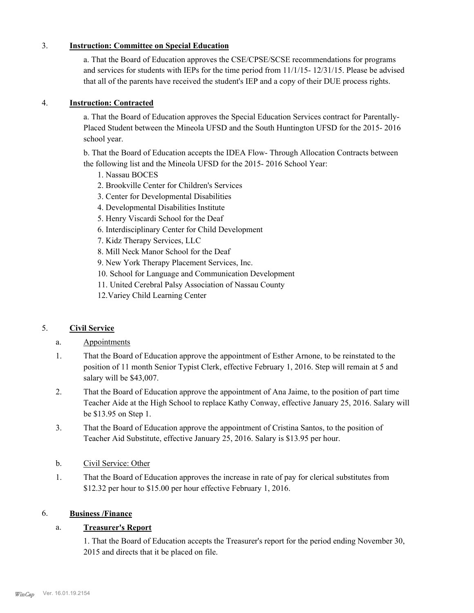#### 3. **Instruction: Committee on Special Education**

a. That the Board of Education approves the CSE/CPSE/SCSE recommendations for programs and services for students with IEPs for the time period from 11/1/15- 12/31/15. Please be advised that all of the parents have received the student's IEP and a copy of their DUE process rights.

## 4. **Instruction: Contracted**

a. That the Board of Education approves the Special Education Services contract for Parentally-Placed Student between the Mineola UFSD and the South Huntington UFSD for the 2015- 2016 school year.

b. That the Board of Education accepts the IDEA Flow- Through Allocation Contracts between the following list and the Mineola UFSD for the 2015- 2016 School Year:

- 1. Nassau BOCES
- 2. Brookville Center for Children's Services
- 3. Center for Developmental Disabilities
- 4. Developmental Disabilities Institute
- 5. Henry Viscardi School for the Deaf
- 6. Interdisciplinary Center for Child Development
- 7. Kidz Therapy Services, LLC
- 8. Mill Neck Manor School for the Deaf
- 9. New York Therapy Placement Services, Inc.
- 10. School for Language and Communication Development
- 11. United Cerebral Palsy Association of Nassau County
- 12.Variey Child Learning Center

# 5. **Civil Service**

#### a. Appointments

- That the Board of Education approve the appointment of Esther Arnone, to be reinstated to the position of 11 month Senior Typist Clerk, effective February 1, 2016. Step will remain at 5 and salary will be \$43,007. 1.
- That the Board of Education approve the appointment of Ana Jaime, to the position of part time Teacher Aide at the High School to replace Kathy Conway, effective January 25, 2016. Salary will be \$13.95 on Step 1. 2.
- That the Board of Education approve the appointment of Cristina Santos, to the position of Teacher Aid Substitute, effective January 25, 2016. Salary is \$13.95 per hour. 3.
- b. Civil Service: Other
- That the Board of Education approves the increase in rate of pay for clerical substitutes from \$12.32 per hour to \$15.00 per hour effective February 1, 2016. 1.

#### 6. **Business /Finance**

# a. **Treasurer's Report**

1. That the Board of Education accepts the Treasurer's report for the period ending November 30, 2015 and directs that it be placed on file.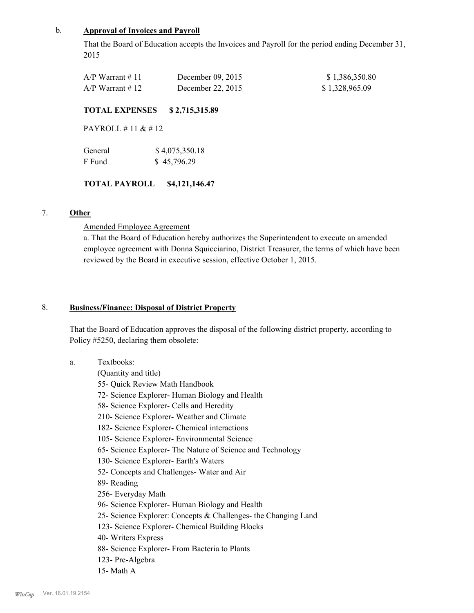#### b. **Approval of Invoices and Payroll**

That the Board of Education accepts the Invoices and Payroll for the period ending December 31, 2015

| $A/P$ Warrant # 11 | December $09, 2015$ | \$1,386,350.80 |
|--------------------|---------------------|----------------|
| $A/P$ Warrant # 12 | December 22, $2015$ | \$1,328,965.09 |

#### **TOTAL EXPENSES \$ 2,715,315.89**

PAYROLL # 11 & # 12

| General | \$4,075,350.18 |
|---------|----------------|
| F Fund  | \$45,796.29    |

#### **TOTAL PAYROLL \$4,121,146.47**

## 7. **Other**

a.

#### Amended Employee Agreement

a. That the Board of Education hereby authorizes the Superintendent to execute an amended employee agreement with Donna Squicciarino, District Treasurer, the terms of which have been reviewed by the Board in executive session, effective October 1, 2015.

#### **Business/Finance: Disposal of District Property** 8.

That the Board of Education approves the disposal of the following district property, according to Policy #5250, declaring them obsolete:

Textbooks: (Quantity and title) 55- Quick Review Math Handbook 72- Science Explorer- Human Biology and Health 58- Science Explorer- Cells and Heredity 210- Science Explorer- Weather and Climate 182- Science Explorer- Chemical interactions 105- Science Explorer- Environmental Science 65- Science Explorer- The Nature of Science and Technology 130- Science Explorer- Earth's Waters 52- Concepts and Challenges- Water and Air 89- Reading 256- Everyday Math 96- Science Explorer- Human Biology and Health 25- Science Explorer: Concepts & Challenges- the Changing Land 123- Science Explorer- Chemical Building Blocks 40- Writers Express 88- Science Explorer- From Bacteria to Plants 123- Pre-Algebra 15- Math A